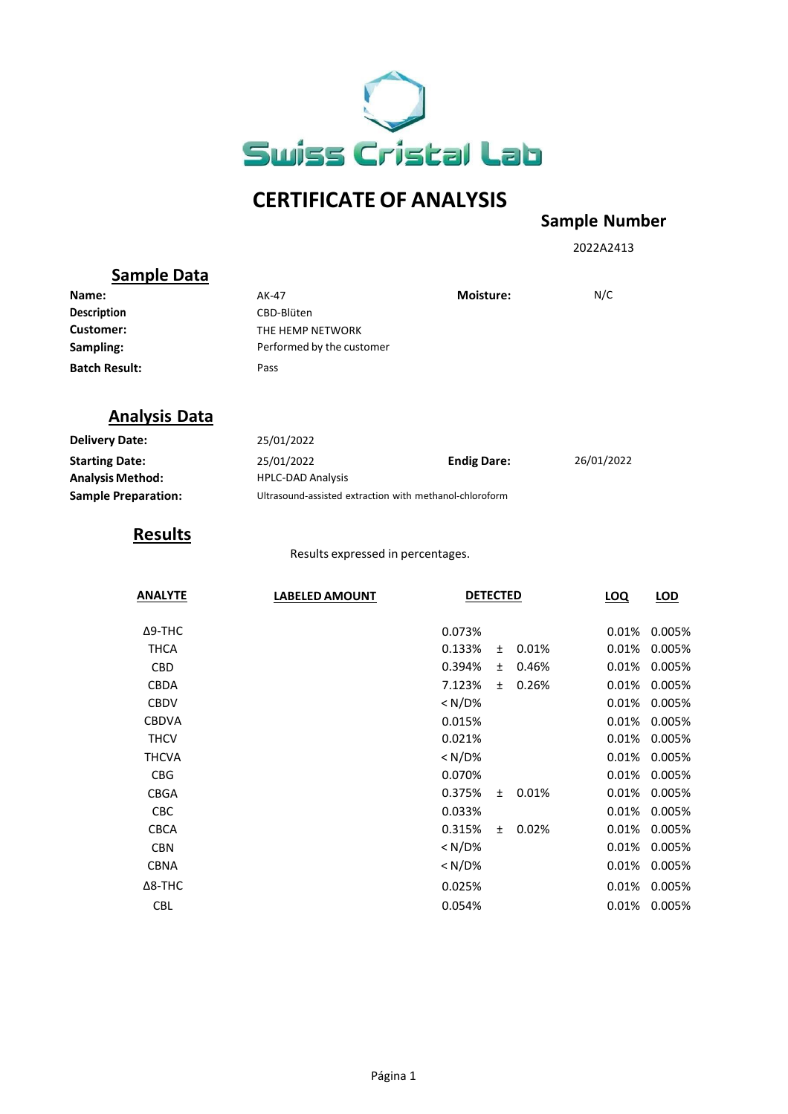

# **CERTIFICATE OF ANALYSIS**

#### **Sample Number**

2022A2413

## **Sample Data**

| Name:                | AK-47                     | <b>Moisture:</b> | N/C |
|----------------------|---------------------------|------------------|-----|
| <b>Description</b>   | CBD-Blüten                |                  |     |
| Customer:            | THE HEMP NETWORK          |                  |     |
| Sampling:            | Performed by the customer |                  |     |
| <b>Batch Result:</b> | Pass                      |                  |     |

### **Analysis Data**

| <b>Delivery Date:</b>      | 25/01/2022               |                                                         |            |  |
|----------------------------|--------------------------|---------------------------------------------------------|------------|--|
| <b>Starting Date:</b>      | 25/01/2022               | <b>Endig Dare:</b>                                      | 26/01/2022 |  |
| <b>Analysis Method:</b>    | <b>HPLC-DAD Analysis</b> |                                                         |            |  |
| <b>Sample Preparation:</b> |                          | Ultrasound-assisted extraction with methanol-chloroform |            |  |

## **Results**

Results expressed in percentages.

| <b>ANALYTE</b> | <b>LABELED AMOUNT</b> | <b>DETECTED</b> |           |       | <b>LOQ</b> | LOD    |
|----------------|-----------------------|-----------------|-----------|-------|------------|--------|
| $\Delta$ 9-THC |                       | 0.073%          |           |       | 0.01%      | 0.005% |
| <b>THCA</b>    |                       | 0.133%          | Ŧ.        | 0.01% | 0.01%      | 0.005% |
| <b>CBD</b>     |                       | 0.394%          | Ŧ.        | 0.46% | 0.01%      | 0.005% |
| <b>CBDA</b>    |                       | 7.123%          | $\ddot{}$ | 0.26% | 0.01%      | 0.005% |
| <b>CBDV</b>    |                       | $< N/D\%$       |           |       | 0.01%      | 0.005% |
| <b>CBDVA</b>   |                       | 0.015%          |           |       | 0.01%      | 0.005% |
| <b>THCV</b>    |                       | 0.021%          |           |       | 0.01%      | 0.005% |
| <b>THCVA</b>   |                       | $<$ N/D%        |           |       | 0.01%      | 0.005% |
| <b>CBG</b>     |                       | 0.070%          |           |       | 0.01%      | 0.005% |
| <b>CBGA</b>    |                       | 0.375%          | $\ddot{}$ | 0.01% | 0.01%      | 0.005% |
| <b>CBC</b>     |                       | 0.033%          |           |       | 0.01%      | 0.005% |
| <b>CBCA</b>    |                       | 0.315%          | $\ddot{}$ | 0.02% | 0.01%      | 0.005% |
| <b>CBN</b>     |                       | $<$ N/D%        |           |       | 0.01%      | 0.005% |
| <b>CBNA</b>    |                       | < N/D%          |           |       | 0.01%      | 0.005% |
| $\Delta$ 8-THC |                       | 0.025%          |           |       | 0.01%      | 0.005% |
| <b>CBL</b>     |                       | 0.054%          |           |       | 0.01%      | 0.005% |